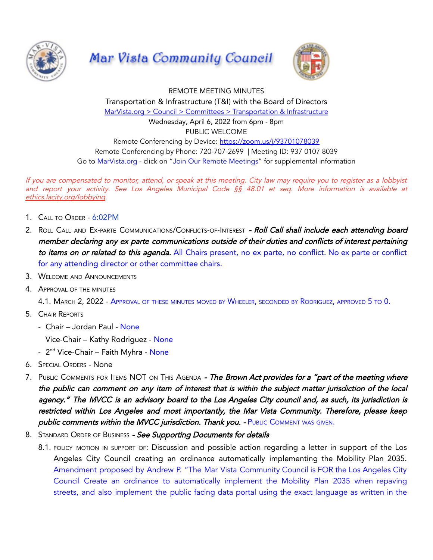





REMOTE MEETING MINUTES Transportation & Infrastructure (T&I) with the Board of Directors MarVista.org > Council > Committees > [Transportation](https://www.marvista.org/committees/viewCommittee/transportation-&-infrastructure-committee) & Infrastructure Wednesday, April 6, 2022 from 6pm - 8pm PUBLIC WELCOME Remote Conferencing by Device: <https://zoom.us/j/93701078039> Remote Conferencing by Phone: 720-707-2699 | Meeting ID: 937 0107 8039 Go to MarVista.org - click on "Join Our Remote Meetings" for supplemental information

If you are compensated to monitor, attend, or speak at this meeting. City law may require you to register as <sup>a</sup> lobbyist and report your activity. See Los Angeles Municipal Code §§ 48.01 et seq. More information is available at [ethics.lacity.org/lobbying](http://ethics.lacity.org/lobbying).

- 1. CALL TO ORDER 6:02PM
- 2. ROLL CALL AND EX-PARTE COMMUNICATIONS/CONFLICTS-OF-INTEREST Roll Call shall include each attending board member declaring any ex parte communications outside of their duties and conflicts of interest pertaining to items on or related to this agenda. All Chairs present, no ex parte, no conflict. No ex parte or conflict for any attending director or other committee chairs.
- 3. WELCOME AND ANNOUNCEMENTS
- 4. APPROVAL OF THE MINUTES

4.1. MARCH 2, 2022 - APPROVAL OF THESE MINUTES MOVED BY WHEELER, SECONDED BY RODRIGUEZ, APPROVED 5 TO 0.

- 5. CHAIR REPORTS
	- Chair Jordan Paul None

Vice-Chair – Kathy Rodriguez - None

- 2<sup>nd</sup> Vice-Chair Faith Myhra None
- 6. SPECIAL ORDERS None
- 7. PUBLIC COMMENTS FOR ITEMS NOT ON THIS AGENDA The Brown Act provides for a "part of the meeting where the public can comment on any item of interest that is within the subject matter jurisdiction of the local agency." The MVCC is an advisory board to the Los Angeles City council and, as such, its jurisdiction is restricted within Los Angeles and most importantly, the Mar Vista Community. Therefore, please keep public comments within the MVCC jurisdiction. Thank you. - PUBLIC COMMENT WAS GIVEN.
- 8. STANDARD ORDER OF BUSINESS See Supporting Documents for details
	- 8.1. POLICY MOTION IN SUPPORT OF: Discussion and possible action regarding a letter in support of the Los Angeles City Council creating an ordinance automatically implementing the Mobility Plan 2035. Amendment proposed by Andrew P. "The Mar Vista Community Council is FOR the Los Angeles City Council Create an ordinance to automatically implement the Mobility Plan 2035 when repaving streets, and also implement the public facing data portal using the exact language as written in the